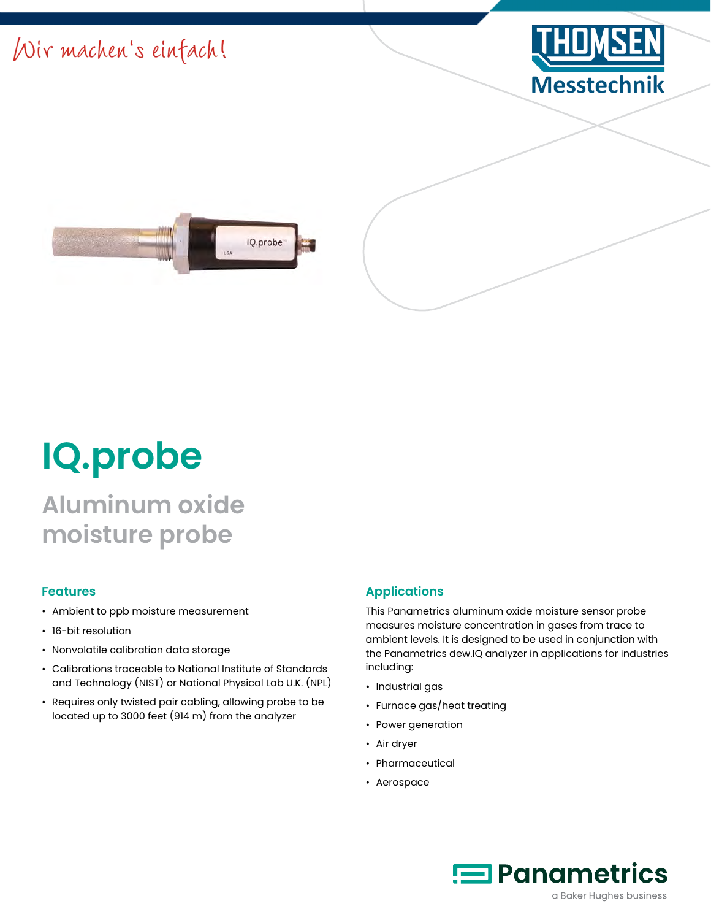



# **IQ.probe**

## **Aluminum oxide moisture probe**

#### **Features**

- Ambient to ppb moisture measurement
- 16-bit resolution
- Nonvolatile calibration data storage
- Calibrations traceable to National Institute of Standards and Technology (NIST) or National Physical Lab U.K. (NPL)
- Requires only twisted pair cabling, allowing probe to be located up to 3000 feet (914 m) from the analyzer

#### **Applications**

This Panametrics aluminum oxide moisture sensor probe measures moisture concentration in gases from trace to ambient levels. It is designed to be used in conjunction with the Panametrics dew.IQ analyzer in applications for industries including:

- Industrial gas
- Furnace gas/heat treating
- Power generation
- Air dryer
- Pharmaceutical
- Aerospace

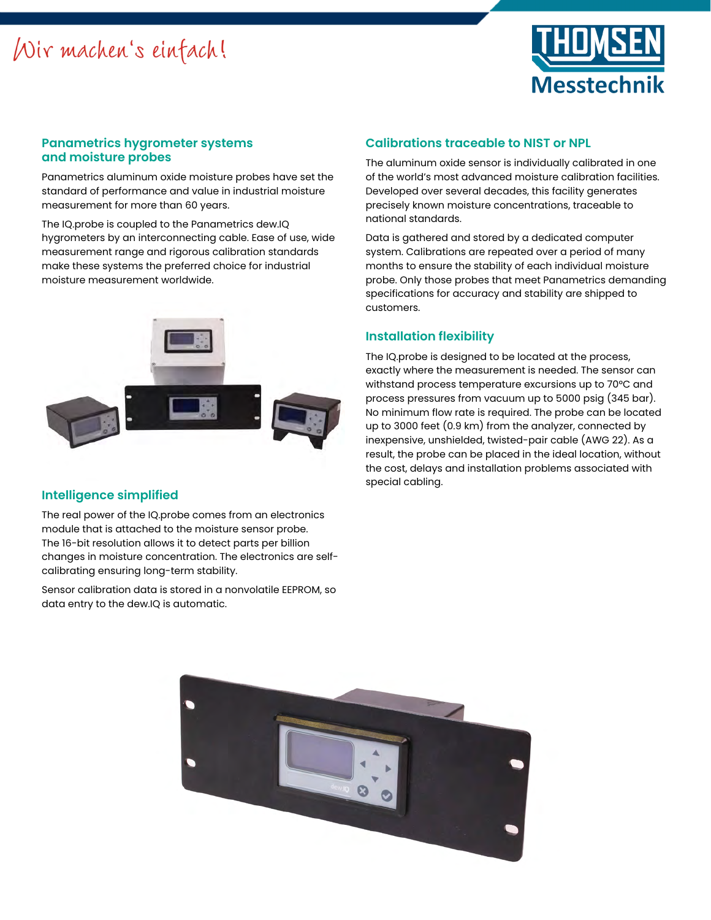

#### **Panametrics hygrometer systems and moisture probes**

Panametrics aluminum oxide moisture probes have set the standard of performance and value in industrial moisture measurement for more than 60 years.

The IQ.probe is coupled to the Panametrics dew.IQ hygrometers by an interconnecting cable. Ease of use, wide measurement range and rigorous calibration standards make these systems the preferred choice for industrial moisture measurement worldwide.



#### **Intelligence simplified**

The real power of the IQ.probe comes from an electronics module that is attached to the moisture sensor probe. The 16-bit resolution allows it to detect parts per billion changes in moisture concentration. The electronics are selfcalibrating ensuring long-term stability.

Sensor calibration data is stored in a nonvolatile EEPROM, so data entry to the dew.IQ is automatic.

#### **Calibrations traceable to NIST or NPL**

The aluminum oxide sensor is individually calibrated in one of the world's most advanced moisture calibration facilities. Developed over several decades, this facility generates precisely known moisture concentrations, traceable to national standards.

Data is gathered and stored by a dedicated computer system. Calibrations are repeated over a period of many months to ensure the stability of each individual moisture probe. Only those probes that meet Panametrics demanding specifications for accuracy and stability are shipped to customers.

#### **Installation flexibility**

The IQ.probe is designed to be located at the process, exactly where the measurement is needed. The sensor can withstand process temperature excursions up to 70°C and process pressures from vacuum up to 5000 psig (345 bar). No minimum flow rate is required. The probe can be located up to 3000 feet (0.9 km) from the analyzer, connected by inexpensive, unshielded, twisted-pair cable (AWG 22). As a result, the probe can be placed in the ideal location, without the cost, delays and installation problems associated with special cabling.

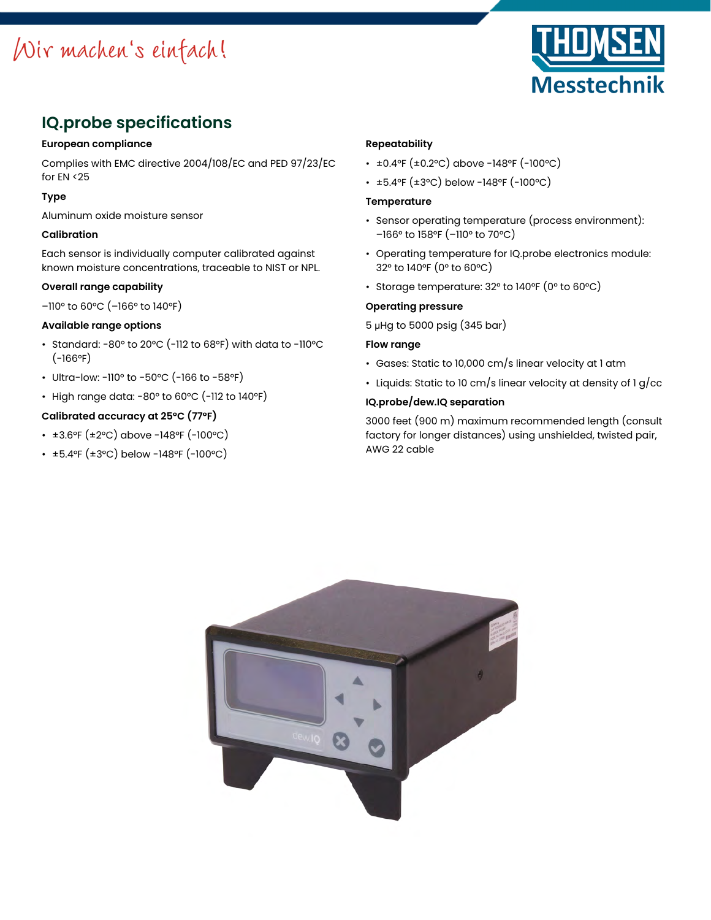

### **IQ.probe specifications**

#### **European compliance**

Complies with EMC directive 2004/108/EC and PED 97/23/EC for EN <25

#### **Type**

Aluminum oxide moisture sensor

#### **Calibration**

Each sensor is individually computer calibrated against known moisture concentrations, traceable to NIST or NPL.

#### **Overall range capability**

–110° to 60°C (–166° to 140°F)

#### **Available range options**

- Standard: -80° to 20°C (-112 to 68°F) with data to -110°C  $(-166°F)$
- Ultra-low: -110° to -50°C (-166 to -58°F)
- High range data: -80° to 60°C (-112 to 140°F)

#### **Calibrated accuracy at 25°C (77°F)**

#### • ±3.6°F (±2°C) above -148°F (-100°C)

• ±5.4°F (±3°C) below -148°F (-100°C)

#### **Repeatability**

- ±0.4°F (±0.2°C) above -148°F (-100°C)
- ±5.4°F (±3°C) below -148°F (-100°C)

#### **Temperature**

- Sensor operating temperature (process environment): –166° to 158°F (–110° to 70°C)
- Operating temperature for IQ.probe electronics module: 32° to 140°F (0° to 60°C)
- Storage temperature: 32° to 140°F (0° to 60°C)

#### **Operating pressure**

5 μHg to 5000 psig (345 bar)

#### **Flow range**

- Gases: Static to 10,000 cm/s linear velocity at 1 atm
- Liquids: Static to 10 cm/s linear velocity at density of 1 g/cc

#### **IQ.probe/dew.IQ separation**

3000 feet (900 m) maximum recommended length (consult factory for longer distances) using unshielded, twisted pair, AWG 22 cable